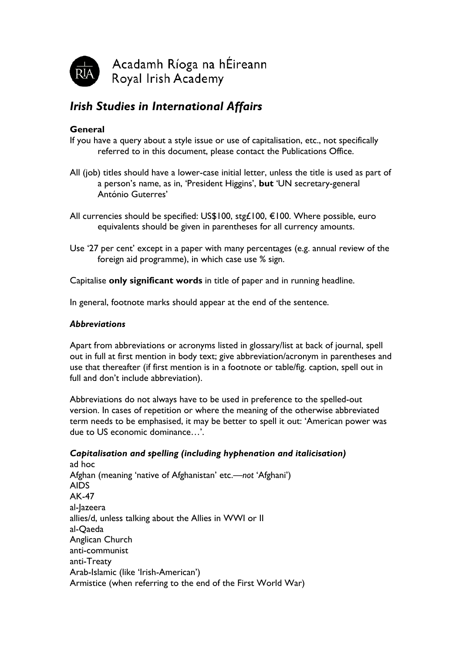

# *Irish Studies in International Affairs*

# **General**

- If you have a query about a style issue or use of capitalisation, etc., not specifically referred to in this document, please contact the Publications Office.
- All (job) titles should have a lower-case initial letter, unless the title is used as part of a person's name, as in, 'President Higgins', **but** 'UN secretary-general António Guterres'
- All currencies should be specified: US\$100, stg£100, €100. Where possible, euro equivalents should be given in parentheses for all currency amounts.
- Use '27 per cent' except in a paper with many percentages (e.g. annual review of the foreign aid programme), in which case use % sign.

Capitalise **only significant words** in title of paper and in running headline.

In general, footnote marks should appear at the end of the sentence.

## *Abbreviations*

Apart from abbreviations or acronyms listed in glossary/list at back of journal, spell out in full at first mention in body text; give abbreviation/acronym in parentheses and use that thereafter (if first mention is in a footnote or table/fig. caption, spell out in full and don't include abbreviation).

Abbreviations do not always have to be used in preference to the spelled-out version. In cases of repetition or where the meaning of the otherwise abbreviated term needs to be emphasised, it may be better to spell it out: 'American power was due to US economic dominance…'.

# *Capitalisation and spelling (including hyphenation and italicisation)*

ad hoc Afghan (meaning 'native of Afghanistan' etc.—*not* 'Afghani') AIDS AK-47 al-Jazeera allies/d, unless talking about the Allies in WWI or II al-Qaeda Anglican Church anti-communist anti-Treaty Arab-Islamic (like 'Irish-American') Armistice (when referring to the end of the First World War)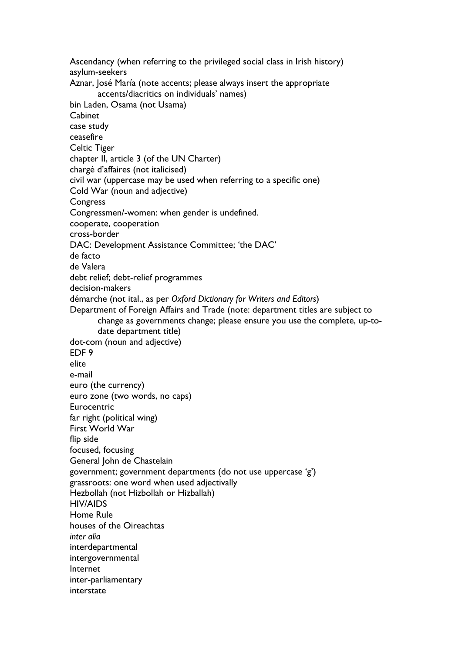Ascendancy (when referring to the privileged social class in Irish history) asylum-seekers Aznar, José María (note accents; please always insert the appropriate accents/diacritics on individuals' names) bin Laden, Osama (not Usama) Cabinet case study ceasefire Celtic Tiger chapter II, article 3 (of the UN Charter) chargé d'affaires (not italicised) civil war (uppercase may be used when referring to a specific one) Cold War (noun and adjective) **Congress** Congressmen/-women: when gender is undefined. cooperate, cooperation cross-border DAC: Development Assistance Committee; 'the DAC' de facto de Valera debt relief; debt-relief programmes decision-makers démarche (not ital., as per *Oxford Dictionary for Writers and Editors*) Department of Foreign Affairs and Trade (note: department titles are subject to change as governments change; please ensure you use the complete, up-todate department title) dot-com (noun and adjective) EDF 9 elite e-mail euro (the currency) euro zone (two words, no caps) **Eurocentric** far right (political wing) First World War flip side focused, focusing General John de Chastelain government; government departments (do not use uppercase 'g') grassroots: one word when used adjectivally Hezbollah (not Hizbollah or Hizballah) HIV/AIDS Home Rule houses of the Oireachtas *inter alia* interdepartmental intergovernmental Internet inter-parliamentary interstate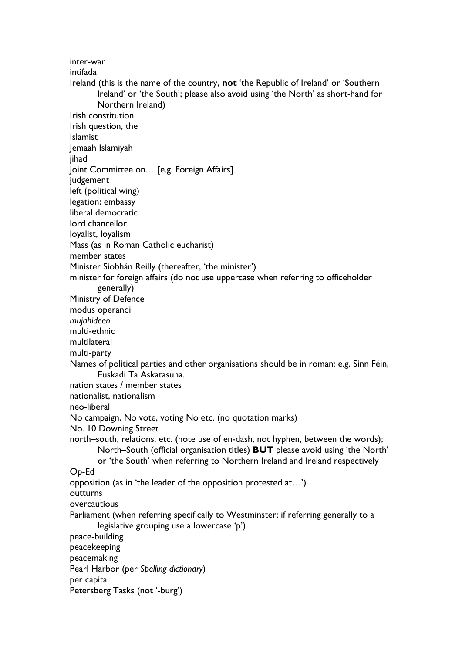inter-war intifada Ireland (this is the name of the country, **not** 'the Republic of Ireland' or 'Southern Ireland' or 'the South'; please also avoid using 'the North' as short-hand for Northern Ireland) Irish constitution Irish question, the Islamist Jemaah Islamiyah iihad Joint Committee on… [e.g. Foreign Affairs] judgement left (political wing) legation; embassy liberal democratic lord chancellor loyalist, loyalism Mass (as in Roman Catholic eucharist) member states Minister Siobhán Reilly (thereafter, 'the minister') minister for foreign affairs (do not use uppercase when referring to officeholder generally) Ministry of Defence modus operandi *mujahideen* multi-ethnic multilateral multi-party Names of political parties and other organisations should be in roman: e.g. Sinn Féin, Euskadi Ta Askatasuna. nation states / member states nationalist, nationalism neo-liberal No campaign, No vote, voting No etc. (no quotation marks) No. 10 Downing Street north–south, relations, etc. (note use of en-dash, not hyphen, between the words); North–South (official organisation titles) **BUT** please avoid using 'the North' or 'the South' when referring to Northern Ireland and Ireland respectively Op-Ed opposition (as in 'the leader of the opposition protested at…') outturns overcautious Parliament (when referring specifically to Westminster; if referring generally to a legislative grouping use a lowercase 'p') peace-building peacekeeping peacemaking Pearl Harbor (per *Spelling dictionary*) per capita

Petersberg Tasks (not '-burg')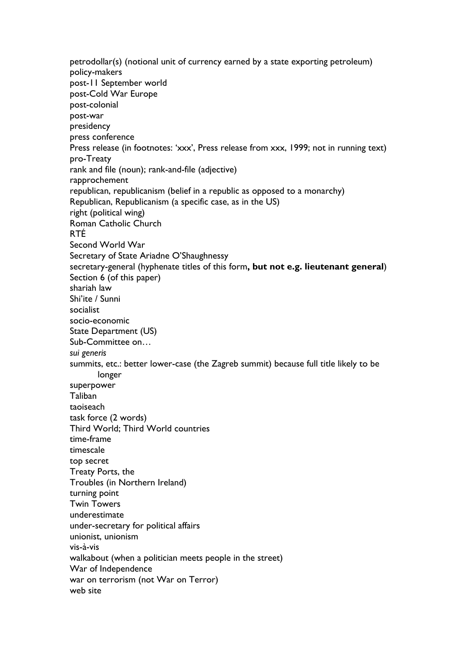petrodollar(s) (notional unit of currency earned by a state exporting petroleum) policy-makers post-11 September world post-Cold War Europe post-colonial post-war presidency press conference Press release (in footnotes: 'xxx', Press release from xxx, 1999; not in running text) pro-Treaty rank and file (noun); rank-and-file (adjective) rapprochement republican, republicanism (belief in a republic as opposed to a monarchy) Republican, Republicanism (a specific case, as in the US) right (political wing) Roman Catholic Church RTÉ Second World War Secretary of State Ariadne O'Shaughnessy secretary-general (hyphenate titles of this form**, but not e.g. lieutenant general**) Section 6 (of this paper) shariah law Shi'ite / Sunni socialist socio-economic State Department (US) Sub-Committee on… *sui generis* summits, etc.: better lower-case (the Zagreb summit) because full title likely to be longer superpower Taliban taoiseach task force (2 words) Third World; Third World countries time-frame timescale top secret Treaty Ports, the Troubles (in Northern Ireland) turning point Twin Towers underestimate under-secretary for political affairs unionist, unionism vis-à-vis walkabout (when a politician meets people in the street) War of Independence war on terrorism (not War on Terror) web site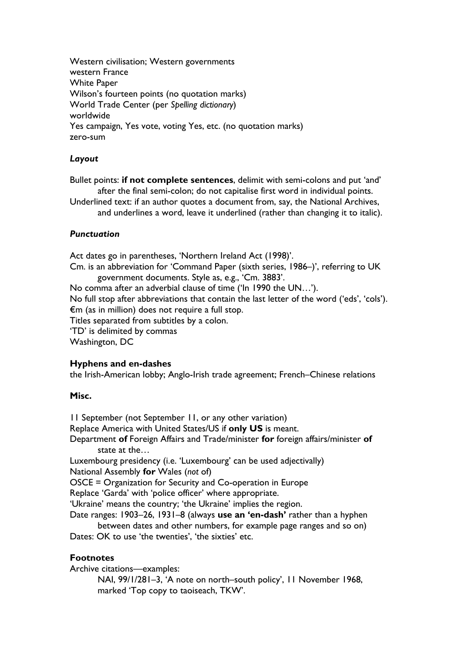Western civilisation; Western governments western France White Paper Wilson's fourteen points (no quotation marks) World Trade Center (per *Spelling dictionary*) worldwide Yes campaign, Yes vote, voting Yes, etc. (no quotation marks) zero-sum

# *Layout*

Bullet points: **if not complete sentences**, delimit with semi-colons and put 'and' after the final semi-colon; do not capitalise first word in individual points.

Underlined text: if an author quotes a document from, say, the National Archives, and underlines a word, leave it underlined (rather than changing it to italic).

## *Punctuation*

Act dates go in parentheses, 'Northern Ireland Act (1998)'. Cm. is an abbreviation for 'Command Paper (sixth series, 1986–)', referring to UK government documents. Style as, e.g., 'Cm. 3883'. No comma after an adverbial clause of time ('In 1990 the UN…'). No full stop after abbreviations that contain the last letter of the word ('eds', 'cols'). €m (as in million) does not require a full stop. Titles separated from subtitles by a colon. 'TD' is delimited by commas Washington, DC

#### **Hyphens and en-dashes**

the Irish-American lobby; Anglo-Irish trade agreement; French–Chinese relations

#### **Misc.**

11 September (not September 11, or any other variation) Replace America with United States/US if **only US** is meant. Department **of** Foreign Affairs and Trade/minister **for** foreign affairs/minister **of** state at the…

Luxembourg presidency (i.e. 'Luxembourg' can be used adjectivally) National Assembly **for** Wales (*not* of)

OSCE = Organization for Security and Co-operation in Europe

Replace 'Garda' with 'police officer' where appropriate.

'Ukraine' means the country; 'the Ukraine' implies the region.

Date ranges: 1903–26, 1931–8 (always **use an 'en-dash'** rather than a hyphen between dates and other numbers, for example page ranges and so on)

Dates: OK to use 'the twenties', 'the sixties' etc.

#### **Footnotes**

Archive citations—examples:

NAI, 99/1/281–3, 'A note on north–south policy', 11 November 1968, marked 'Top copy to taoiseach, TKW'.